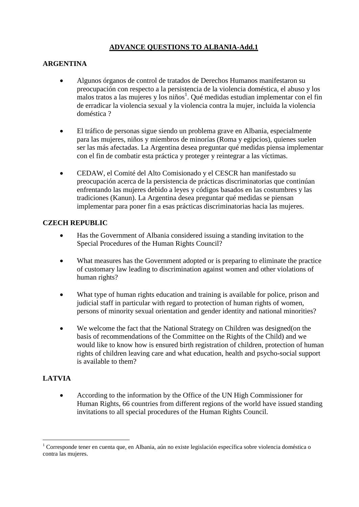## **ADVANCE QUESTIONS TO ALBANIA-Add.1**

## **ARGENTINA**

- Algunos órganos de control de tratados de Derechos Humanos manifestaron su preocupación con respecto a la persistencia de la violencia doméstica, el abuso y los malos tratos a las mujeres y los niños<sup>1</sup>. Qué medidas estudian implementar con el fin de erradicar la violencia sexual y la violencia contra la mujer, incluida la violencia doméstica ?
- El tráfico de personas sigue siendo un problema grave en Albania, especialmente para las mujeres, niños y miembros de minorías (Roma y egipcios), quienes suelen ser las más afectadas. La Argentina desea preguntar qué medidas piensa implementar con el fin de combatir esta práctica y proteger y reintegrar a las víctimas.
- CEDAW, el Comité del Alto Comisionado y el CESCR han manifestado su preocupación acerca de la persistencia de prácticas discriminatorias que continúan enfrentando las mujeres debido a leyes y códigos basados en las costumbres y las tradiciones (Kanun). La Argentina desea preguntar qué medidas se piensan implementar para poner fin a esas prácticas discriminatorias hacia las mujeres.

## **CZECH REPUBLIC**

- Has the Government of Albania considered issuing a standing invitation to the Special Procedures of the Human Rights Council?
- What measures has the Government adopted or is preparing to eliminate the practice of customary law leading to discrimination against women and other violations of human rights?
- What type of human rights education and training is available for police, prison and judicial staff in particular with regard to protection of human rights of women, persons of minority sexual orientation and gender identity and national minorities?
- We welcome the fact that the National Strategy on Children was designed(on the basis of recommendations of the Committee on the Rights of the Child) and we would like to know how is ensured birth registration of children, protection of human rights of children leaving care and what education, health and psycho-social support is available to them?

## **LATVIA**

 $\overline{a}$ 

 According to the information by the Office of the UN High Commissioner for Human Rights, 66 countries from different regions of the world have issued standing invitations to all special procedures of the Human Rights Council.

<sup>1</sup> Corresponde tener en cuenta que, en Albania, aún no existe legislación específica sobre violencia doméstica o contra las mujeres.